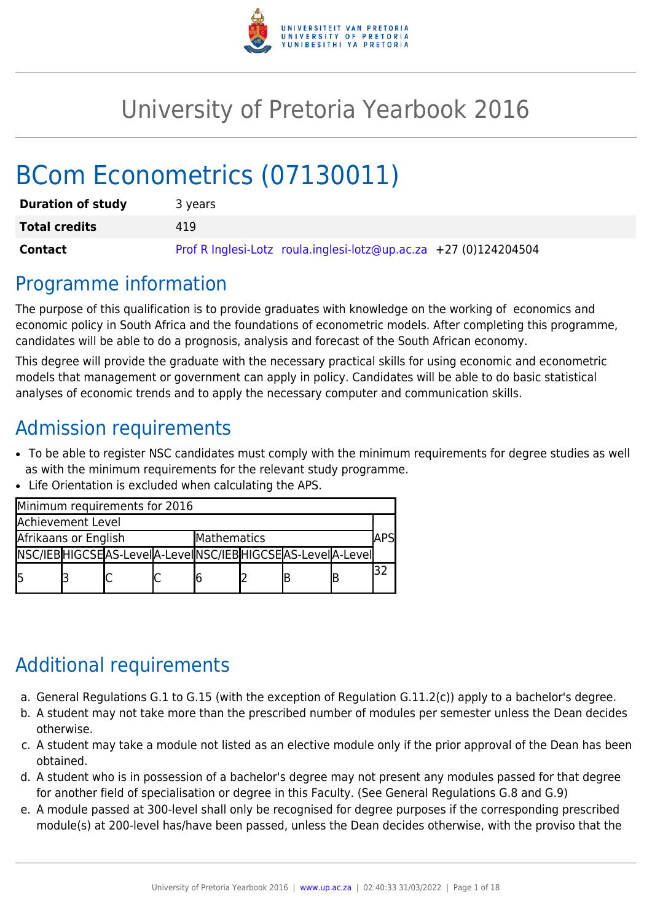

# University of Pretoria Yearbook 2016

# BCom Econometrics (07130011)

| <b>Duration of study</b> | 3 years                                                          |
|--------------------------|------------------------------------------------------------------|
| <b>Total credits</b>     | 419                                                              |
| <b>Contact</b>           | Prof R Inglesi-Lotz roula.inglesi-lotz@up.ac.za +27 (0)124204504 |

### Programme information

The purpose of this qualification is to provide graduates with knowledge on the working of economics and economic policy in South Africa and the foundations of econometric models. After completing this programme, candidates will be able to do a prognosis, analysis and forecast of the South African economy.

This degree will provide the graduate with the necessary practical skills for using economic and econometric models that management or government can apply in policy. Candidates will be able to do basic statistical analyses of economic trends and to apply the necessary computer and communication skills.

# Admission requirements

- To be able to register NSC candidates must comply with the minimum requirements for degree studies as well as with the minimum requirements for the relevant study programme.
- Life Orientation is excluded when calculating the APS.

| Minimum requirements for 2016 |  |                                                                 |             |  |  |  |  |  |
|-------------------------------|--|-----------------------------------------------------------------|-------------|--|--|--|--|--|
| Achievement Level             |  |                                                                 |             |  |  |  |  |  |
| Afrikaans or English          |  |                                                                 | Mathematics |  |  |  |  |  |
|                               |  | NSC/IEB HIGCSE AS-LeveI A-LeveI NSC/IEB HIGCSE AS-LeveI A-LeveI |             |  |  |  |  |  |
| l5                            |  |                                                                 |             |  |  |  |  |  |

# Additional requirements

- a. General Regulations G.1 to G.15 (with the exception of Regulation G.11.2(c)) apply to a bachelor's degree.
- b. A student may not take more than the prescribed number of modules per semester unless the Dean decides otherwise.
- c. A student may take a module not listed as an elective module only if the prior approval of the Dean has been obtained.
- d. A student who is in possession of a bachelor's degree may not present any modules passed for that degree for another field of specialisation or degree in this Faculty. (See General Regulations G.8 and G.9)
- e. A module passed at 300-level shall only be recognised for degree purposes if the corresponding prescribed module(s) at 200-level has/have been passed, unless the Dean decides otherwise, with the proviso that the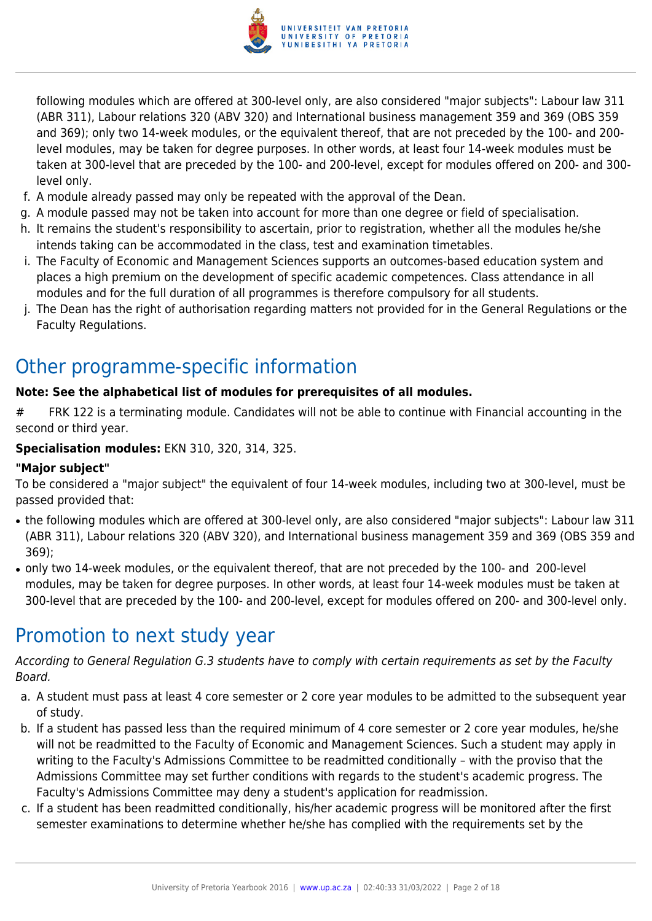

following modules which are offered at 300-level only, are also considered "major subjects": Labour law 311 (ABR 311), Labour relations 320 (ABV 320) and International business management 359 and 369 (OBS 359 and 369); only two 14-week modules, or the equivalent thereof, that are not preceded by the 100- and 200 level modules, may be taken for degree purposes. In other words, at least four 14-week modules must be taken at 300-level that are preceded by the 100- and 200-level, except for modules offered on 200- and 300 level only.

- f. A module already passed may only be repeated with the approval of the Dean.
- g. A module passed may not be taken into account for more than one degree or field of specialisation.
- h. It remains the student's responsibility to ascertain, prior to registration, whether all the modules he/she intends taking can be accommodated in the class, test and examination timetables.
- i. The Faculty of Economic and Management Sciences supports an outcomes-based education system and places a high premium on the development of specific academic competences. Class attendance in all modules and for the full duration of all programmes is therefore compulsory for all students.
- j. The Dean has the right of authorisation regarding matters not provided for in the General Regulations or the Faculty Regulations.

# Other programme-specific information

#### **Note: See the alphabetical list of modules for prerequisites of all modules.**

# FRK 122 is a terminating module. Candidates will not be able to continue with Financial accounting in the second or third year.

#### **Specialisation modules:** EKN 310, 320, 314, 325.

#### **"Major subject"**

To be considered a "major subject" the equivalent of four 14-week modules, including two at 300-level, must be passed provided that:

- the following modules which are offered at 300-level only, are also considered "major subjects": Labour law 311 (ABR 311), Labour relations 320 (ABV 320), and International business management 359 and 369 (OBS 359 and 369);
- only two 14-week modules, or the equivalent thereof, that are not preceded by the 100- and 200-level modules, may be taken for degree purposes. In other words, at least four 14-week modules must be taken at 300-level that are preceded by the 100- and 200-level, except for modules offered on 200- and 300-level only.

### Promotion to next study year

According to General Regulation G.3 students have to comply with certain requirements as set by the Faculty Board.

- a. A student must pass at least 4 core semester or 2 core year modules to be admitted to the subsequent year of study.
- b. If a student has passed less than the required minimum of 4 core semester or 2 core year modules, he/she will not be readmitted to the Faculty of Economic and Management Sciences. Such a student may apply in writing to the Faculty's Admissions Committee to be readmitted conditionally – with the proviso that the Admissions Committee may set further conditions with regards to the student's academic progress. The Faculty's Admissions Committee may deny a student's application for readmission.
- c. If a student has been readmitted conditionally, his/her academic progress will be monitored after the first semester examinations to determine whether he/she has complied with the requirements set by the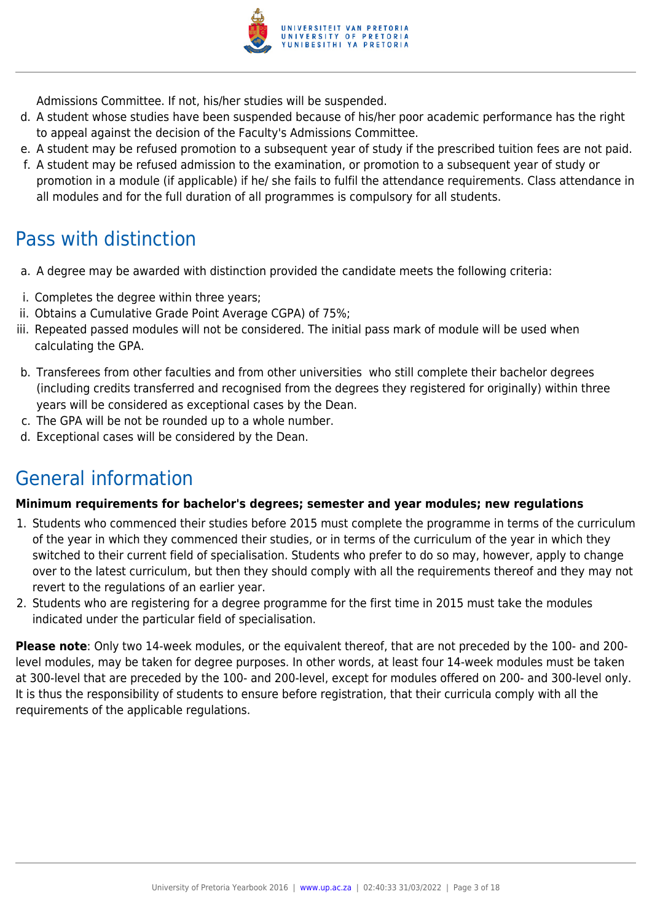

Admissions Committee. If not, his/her studies will be suspended.

- d. A student whose studies have been suspended because of his/her poor academic performance has the right to appeal against the decision of the Faculty's Admissions Committee.
- e. A student may be refused promotion to a subsequent year of study if the prescribed tuition fees are not paid.
- f. A student may be refused admission to the examination, or promotion to a subsequent year of study or promotion in a module (if applicable) if he/ she fails to fulfil the attendance requirements. Class attendance in all modules and for the full duration of all programmes is compulsory for all students.

# Pass with distinction

- a. A degree may be awarded with distinction provided the candidate meets the following criteria:
- i. Completes the degree within three years;
- ii. Obtains a Cumulative Grade Point Average CGPA) of 75%;
- iii. Repeated passed modules will not be considered. The initial pass mark of module will be used when calculating the GPA.
- b. Transferees from other faculties and from other universities who still complete their bachelor degrees (including credits transferred and recognised from the degrees they registered for originally) within three years will be considered as exceptional cases by the Dean.
- c. The GPA will be not be rounded up to a whole number.
- d. Exceptional cases will be considered by the Dean.

# General information

#### **Minimum requirements for bachelor's degrees; semester and year modules; new regulations**

- 1. Students who commenced their studies before 2015 must complete the programme in terms of the curriculum of the year in which they commenced their studies, or in terms of the curriculum of the year in which they switched to their current field of specialisation. Students who prefer to do so may, however, apply to change over to the latest curriculum, but then they should comply with all the requirements thereof and they may not revert to the regulations of an earlier year.
- 2. Students who are registering for a degree programme for the first time in 2015 must take the modules indicated under the particular field of specialisation.

**Please note**: Only two 14-week modules, or the equivalent thereof, that are not preceded by the 100- and 200 level modules, may be taken for degree purposes. In other words, at least four 14-week modules must be taken at 300-level that are preceded by the 100- and 200-level, except for modules offered on 200- and 300-level only. It is thus the responsibility of students to ensure before registration, that their curricula comply with all the requirements of the applicable regulations.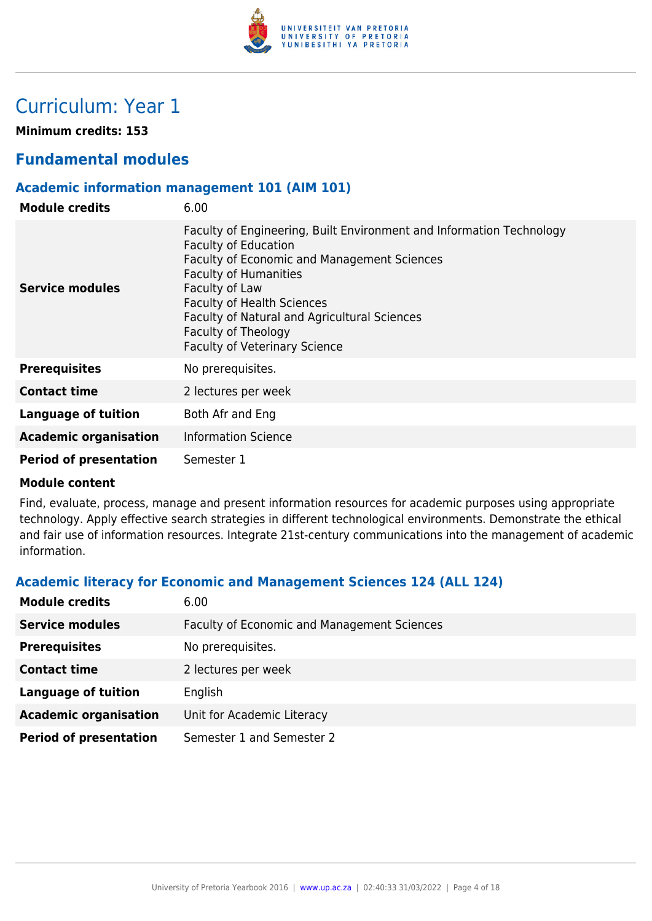

# Curriculum: Year 1

**Minimum credits: 153**

### **Fundamental modules**

#### **Academic information management 101 (AIM 101)**

| <b>Module credits</b>         | 6.00                                                                                                                                                                                                                                                                                                                                                     |
|-------------------------------|----------------------------------------------------------------------------------------------------------------------------------------------------------------------------------------------------------------------------------------------------------------------------------------------------------------------------------------------------------|
| Service modules               | Faculty of Engineering, Built Environment and Information Technology<br><b>Faculty of Education</b><br>Faculty of Economic and Management Sciences<br><b>Faculty of Humanities</b><br>Faculty of Law<br><b>Faculty of Health Sciences</b><br>Faculty of Natural and Agricultural Sciences<br>Faculty of Theology<br><b>Faculty of Veterinary Science</b> |
| <b>Prerequisites</b>          | No prerequisites.                                                                                                                                                                                                                                                                                                                                        |
| <b>Contact time</b>           | 2 lectures per week                                                                                                                                                                                                                                                                                                                                      |
| Language of tuition           | Both Afr and Eng                                                                                                                                                                                                                                                                                                                                         |
| <b>Academic organisation</b>  | <b>Information Science</b>                                                                                                                                                                                                                                                                                                                               |
| <b>Period of presentation</b> | Semester 1                                                                                                                                                                                                                                                                                                                                               |

#### **Module content**

Find, evaluate, process, manage and present information resources for academic purposes using appropriate technology. Apply effective search strategies in different technological environments. Demonstrate the ethical and fair use of information resources. Integrate 21st-century communications into the management of academic information.

#### **Academic literacy for Economic and Management Sciences 124 (ALL 124)**

| <b>Module credits</b>         | 6.00                                               |
|-------------------------------|----------------------------------------------------|
| <b>Service modules</b>        | <b>Faculty of Economic and Management Sciences</b> |
| <b>Prerequisites</b>          | No prerequisites.                                  |
| <b>Contact time</b>           | 2 lectures per week                                |
| <b>Language of tuition</b>    | English                                            |
| <b>Academic organisation</b>  | Unit for Academic Literacy                         |
| <b>Period of presentation</b> | Semester 1 and Semester 2                          |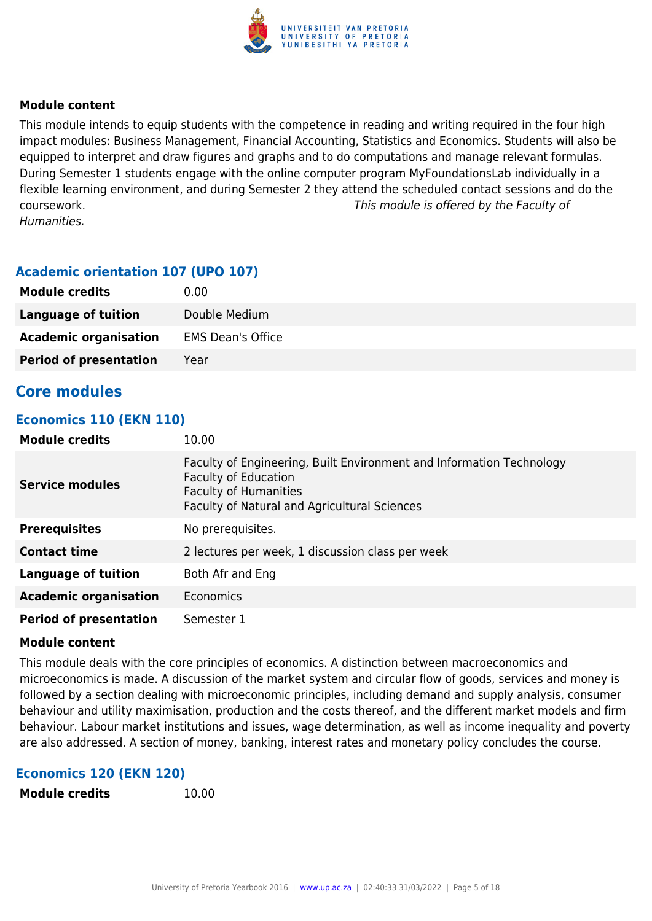

This module intends to equip students with the competence in reading and writing required in the four high impact modules: Business Management, Financial Accounting, Statistics and Economics. Students will also be equipped to interpret and draw figures and graphs and to do computations and manage relevant formulas. During Semester 1 students engage with the online computer program MyFoundationsLab individually in a flexible learning environment, and during Semester 2 they attend the scheduled contact sessions and do the coursework. This module is offered by the Faculty of Humanities.

#### **Academic orientation 107 (UPO 107)**

| <b>Module credits</b>         | 0.00                     |
|-------------------------------|--------------------------|
| Language of tuition           | Double Medium            |
| <b>Academic organisation</b>  | <b>EMS Dean's Office</b> |
| <b>Period of presentation</b> | Year                     |

#### **Core modules**

#### **Economics 110 (EKN 110)**

| <b>Module credits</b>         | 10.00                                                                                                                                                                                      |
|-------------------------------|--------------------------------------------------------------------------------------------------------------------------------------------------------------------------------------------|
| <b>Service modules</b>        | Faculty of Engineering, Built Environment and Information Technology<br><b>Faculty of Education</b><br><b>Faculty of Humanities</b><br><b>Faculty of Natural and Agricultural Sciences</b> |
| <b>Prerequisites</b>          | No prerequisites.                                                                                                                                                                          |
| <b>Contact time</b>           | 2 lectures per week, 1 discussion class per week                                                                                                                                           |
| Language of tuition           | Both Afr and Eng                                                                                                                                                                           |
| <b>Academic organisation</b>  | Economics                                                                                                                                                                                  |
| <b>Period of presentation</b> | Semester 1                                                                                                                                                                                 |

#### **Module content**

This module deals with the core principles of economics. A distinction between macroeconomics and microeconomics is made. A discussion of the market system and circular flow of goods, services and money is followed by a section dealing with microeconomic principles, including demand and supply analysis, consumer behaviour and utility maximisation, production and the costs thereof, and the different market models and firm behaviour. Labour market institutions and issues, wage determination, as well as income inequality and poverty are also addressed. A section of money, banking, interest rates and monetary policy concludes the course.

#### **Economics 120 (EKN 120)**

```
Module credits 10.00
```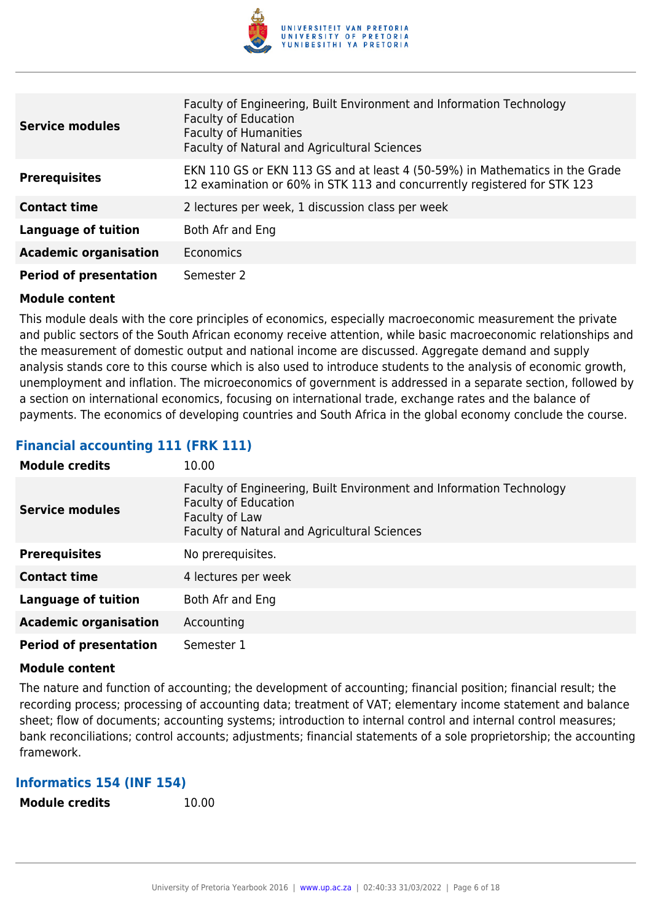

| <b>Service modules</b>        | Faculty of Engineering, Built Environment and Information Technology<br><b>Faculty of Education</b><br><b>Faculty of Humanities</b><br>Faculty of Natural and Agricultural Sciences |
|-------------------------------|-------------------------------------------------------------------------------------------------------------------------------------------------------------------------------------|
| <b>Prerequisites</b>          | EKN 110 GS or EKN 113 GS and at least 4 (50-59%) in Mathematics in the Grade<br>12 examination or 60% in STK 113 and concurrently registered for STK 123                            |
| <b>Contact time</b>           | 2 lectures per week, 1 discussion class per week                                                                                                                                    |
| <b>Language of tuition</b>    | Both Afr and Eng                                                                                                                                                                    |
| <b>Academic organisation</b>  | <b>Economics</b>                                                                                                                                                                    |
| <b>Period of presentation</b> | Semester 2                                                                                                                                                                          |

This module deals with the core principles of economics, especially macroeconomic measurement the private and public sectors of the South African economy receive attention, while basic macroeconomic relationships and the measurement of domestic output and national income are discussed. Aggregate demand and supply analysis stands core to this course which is also used to introduce students to the analysis of economic growth, unemployment and inflation. The microeconomics of government is addressed in a separate section, followed by a section on international economics, focusing on international trade, exchange rates and the balance of payments. The economics of developing countries and South Africa in the global economy conclude the course.

#### **Financial accounting 111 (FRK 111)**

| <b>Module credits</b>         | 10.00                                                                                                                                                                 |
|-------------------------------|-----------------------------------------------------------------------------------------------------------------------------------------------------------------------|
| <b>Service modules</b>        | Faculty of Engineering, Built Environment and Information Technology<br><b>Faculty of Education</b><br>Faculty of Law<br>Faculty of Natural and Agricultural Sciences |
| <b>Prerequisites</b>          | No prerequisites.                                                                                                                                                     |
| <b>Contact time</b>           | 4 lectures per week                                                                                                                                                   |
| <b>Language of tuition</b>    | Both Afr and Eng                                                                                                                                                      |
| <b>Academic organisation</b>  | Accounting                                                                                                                                                            |
| <b>Period of presentation</b> | Semester 1                                                                                                                                                            |

#### **Module content**

The nature and function of accounting; the development of accounting; financial position; financial result; the recording process; processing of accounting data; treatment of VAT; elementary income statement and balance sheet; flow of documents; accounting systems; introduction to internal control and internal control measures; bank reconciliations; control accounts; adjustments; financial statements of a sole proprietorship; the accounting framework.

#### **Informatics 154 (INF 154)**

**Module credits** 10.00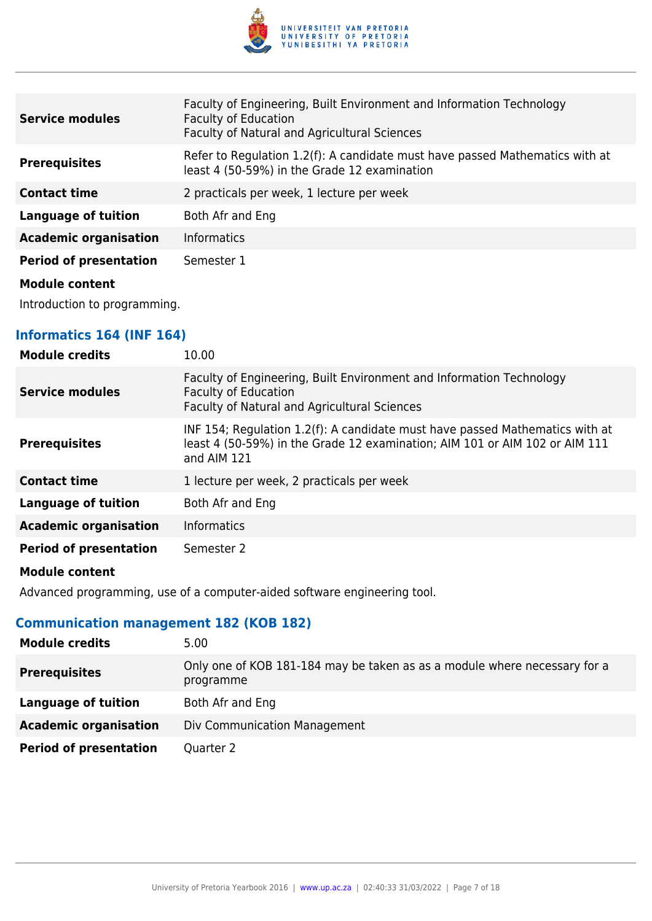

| <b>Service modules</b>        | Faculty of Engineering, Built Environment and Information Technology<br><b>Faculty of Education</b><br>Faculty of Natural and Agricultural Sciences |
|-------------------------------|-----------------------------------------------------------------------------------------------------------------------------------------------------|
| <b>Prerequisites</b>          | Refer to Regulation 1.2(f): A candidate must have passed Mathematics with at<br>least 4 (50-59%) in the Grade 12 examination                        |
| <b>Contact time</b>           | 2 practicals per week, 1 lecture per week                                                                                                           |
| <b>Language of tuition</b>    | Both Afr and Eng                                                                                                                                    |
| <b>Academic organisation</b>  | <b>Informatics</b>                                                                                                                                  |
| <b>Period of presentation</b> | Semester 1                                                                                                                                          |
| <b>Madula assissat</b>        |                                                                                                                                                     |

Introduction to programming.

#### **Informatics 164 (INF 164)**

| <b>Module credits</b>         | 10.00                                                                                                                                                                      |
|-------------------------------|----------------------------------------------------------------------------------------------------------------------------------------------------------------------------|
| <b>Service modules</b>        | Faculty of Engineering, Built Environment and Information Technology<br><b>Faculty of Education</b><br>Faculty of Natural and Agricultural Sciences                        |
| <b>Prerequisites</b>          | INF 154; Regulation 1.2(f): A candidate must have passed Mathematics with at<br>least 4 (50-59%) in the Grade 12 examination; AIM 101 or AIM 102 or AIM 111<br>and AIM 121 |
| <b>Contact time</b>           | 1 lecture per week, 2 practicals per week                                                                                                                                  |
| <b>Language of tuition</b>    | Both Afr and Eng                                                                                                                                                           |
| <b>Academic organisation</b>  | <b>Informatics</b>                                                                                                                                                         |
| <b>Period of presentation</b> | Semester 2                                                                                                                                                                 |
|                               |                                                                                                                                                                            |

#### **Module content**

Advanced programming, use of a computer-aided software engineering tool.

### **Communication management 182 (KOB 182)**

| <b>Module credits</b>         | 5.00                                                                                   |
|-------------------------------|----------------------------------------------------------------------------------------|
| <b>Prerequisites</b>          | Only one of KOB 181-184 may be taken as as a module where necessary for a<br>programme |
| Language of tuition           | Both Afr and Eng                                                                       |
| <b>Academic organisation</b>  | Div Communication Management                                                           |
| <b>Period of presentation</b> | Quarter 2                                                                              |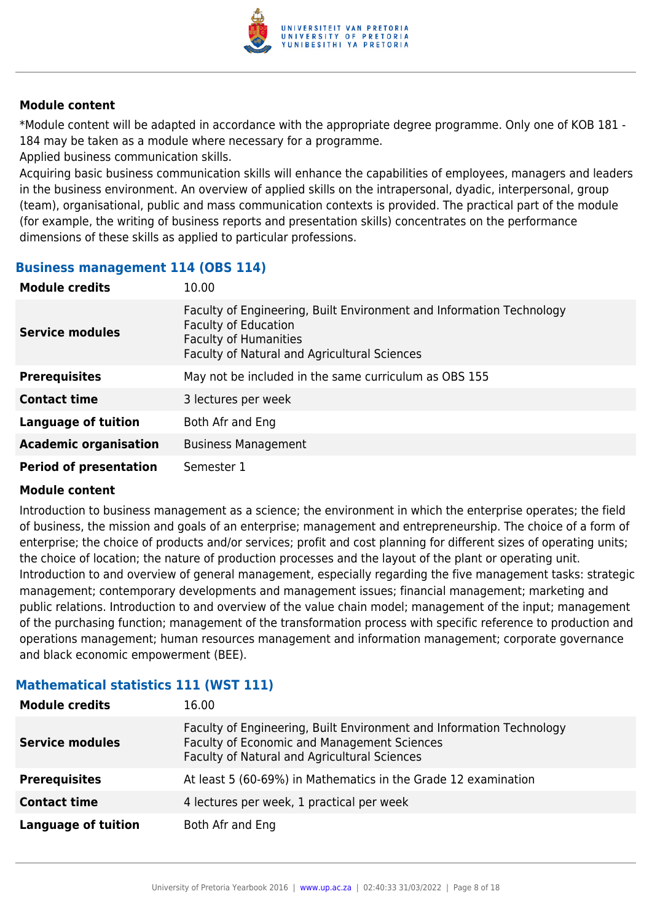

\*Module content will be adapted in accordance with the appropriate degree programme. Only one of KOB 181 - 184 may be taken as a module where necessary for a programme.

Applied business communication skills.

Acquiring basic business communication skills will enhance the capabilities of employees, managers and leaders in the business environment. An overview of applied skills on the intrapersonal, dyadic, interpersonal, group (team), organisational, public and mass communication contexts is provided. The practical part of the module (for example, the writing of business reports and presentation skills) concentrates on the performance dimensions of these skills as applied to particular professions.

#### **Business management 114 (OBS 114)**

| <b>Module credits</b>         | 10.00                                                                                                                                                                               |
|-------------------------------|-------------------------------------------------------------------------------------------------------------------------------------------------------------------------------------|
| <b>Service modules</b>        | Faculty of Engineering, Built Environment and Information Technology<br><b>Faculty of Education</b><br><b>Faculty of Humanities</b><br>Faculty of Natural and Agricultural Sciences |
| <b>Prerequisites</b>          | May not be included in the same curriculum as OBS 155                                                                                                                               |
| <b>Contact time</b>           | 3 lectures per week                                                                                                                                                                 |
| <b>Language of tuition</b>    | Both Afr and Eng                                                                                                                                                                    |
| <b>Academic organisation</b>  | <b>Business Management</b>                                                                                                                                                          |
| <b>Period of presentation</b> | Semester 1                                                                                                                                                                          |

#### **Module content**

Introduction to business management as a science; the environment in which the enterprise operates; the field of business, the mission and goals of an enterprise; management and entrepreneurship. The choice of a form of enterprise; the choice of products and/or services; profit and cost planning for different sizes of operating units; the choice of location; the nature of production processes and the layout of the plant or operating unit. Introduction to and overview of general management, especially regarding the five management tasks: strategic management; contemporary developments and management issues; financial management; marketing and public relations. Introduction to and overview of the value chain model; management of the input; management of the purchasing function; management of the transformation process with specific reference to production and operations management; human resources management and information management; corporate governance and black economic empowerment (BEE).

| <b>Module credits</b>      | 16.00                                                                                                                                                               |
|----------------------------|---------------------------------------------------------------------------------------------------------------------------------------------------------------------|
| <b>Service modules</b>     | Faculty of Engineering, Built Environment and Information Technology<br>Faculty of Economic and Management Sciences<br>Faculty of Natural and Agricultural Sciences |
| <b>Prerequisites</b>       | At least 5 (60-69%) in Mathematics in the Grade 12 examination                                                                                                      |
| <b>Contact time</b>        | 4 lectures per week, 1 practical per week                                                                                                                           |
| <b>Language of tuition</b> | Both Afr and Eng                                                                                                                                                    |

### **Mathematical statistics 111 (WST 111)**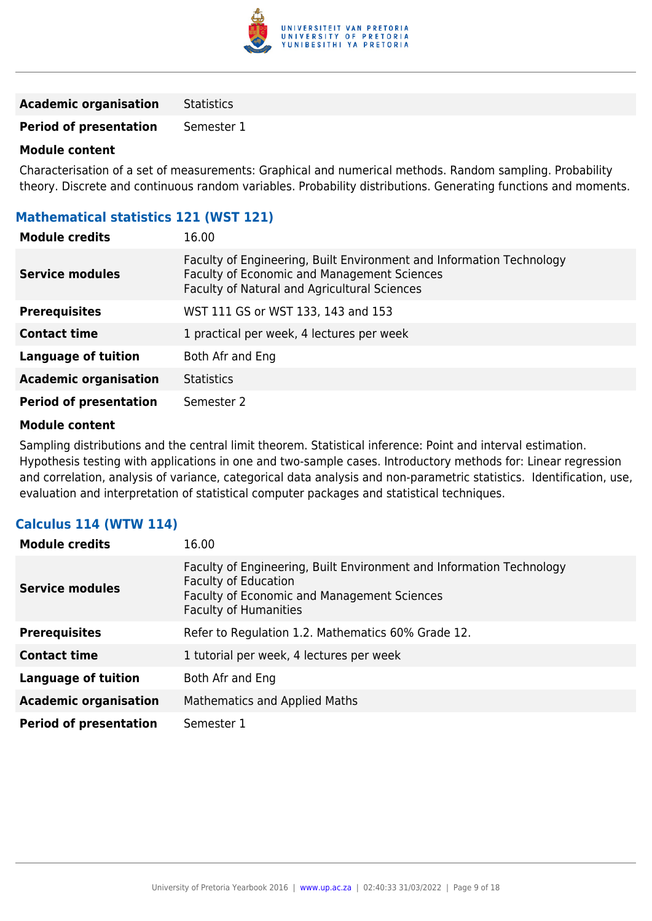

**Academic organisation** Statistics

**Period of presentation** Semester 1

#### **Module content**

Characterisation of a set of measurements: Graphical and numerical methods. Random sampling. Probability theory. Discrete and continuous random variables. Probability distributions. Generating functions and moments.

### **Mathematical statistics 121 (WST 121)**

| <b>Module credits</b>         | 16.00                                                                                                                                                               |
|-------------------------------|---------------------------------------------------------------------------------------------------------------------------------------------------------------------|
| <b>Service modules</b>        | Faculty of Engineering, Built Environment and Information Technology<br>Faculty of Economic and Management Sciences<br>Faculty of Natural and Agricultural Sciences |
| <b>Prerequisites</b>          | WST 111 GS or WST 133, 143 and 153                                                                                                                                  |
| <b>Contact time</b>           | 1 practical per week, 4 lectures per week                                                                                                                           |
| <b>Language of tuition</b>    | Both Afr and Eng                                                                                                                                                    |
| <b>Academic organisation</b>  | <b>Statistics</b>                                                                                                                                                   |
| <b>Period of presentation</b> | Semester 2                                                                                                                                                          |

#### **Module content**

Sampling distributions and the central limit theorem. Statistical inference: Point and interval estimation. Hypothesis testing with applications in one and two-sample cases. Introductory methods for: Linear regression and correlation, analysis of variance, categorical data analysis and non-parametric statistics. Identification, use, evaluation and interpretation of statistical computer packages and statistical techniques.

#### **Calculus 114 (WTW 114)**

| <b>Module credits</b>         | 16.00                                                                                                                                                                              |
|-------------------------------|------------------------------------------------------------------------------------------------------------------------------------------------------------------------------------|
| <b>Service modules</b>        | Faculty of Engineering, Built Environment and Information Technology<br>Faculty of Education<br><b>Faculty of Economic and Management Sciences</b><br><b>Faculty of Humanities</b> |
| <b>Prerequisites</b>          | Refer to Regulation 1.2. Mathematics 60% Grade 12.                                                                                                                                 |
| <b>Contact time</b>           | 1 tutorial per week, 4 lectures per week                                                                                                                                           |
| <b>Language of tuition</b>    | Both Afr and Eng                                                                                                                                                                   |
| <b>Academic organisation</b>  | Mathematics and Applied Maths                                                                                                                                                      |
| <b>Period of presentation</b> | Semester 1                                                                                                                                                                         |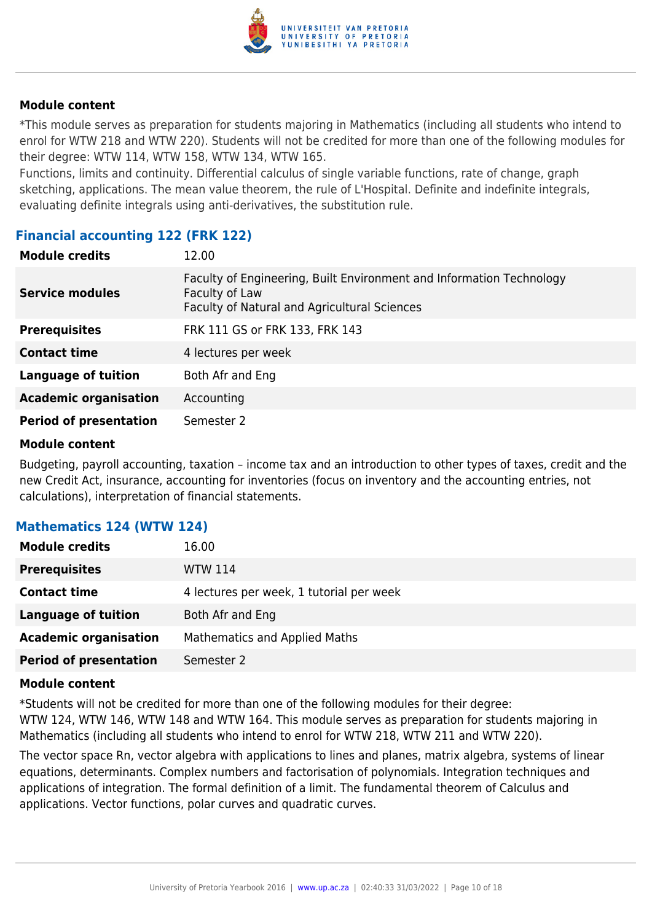

\*This module serves as preparation for students majoring in Mathematics (including all students who intend to enrol for WTW 218 and WTW 220). Students will not be credited for more than one of the following modules for their degree: WTW 114, WTW 158, WTW 134, WTW 165.

Functions, limits and continuity. Differential calculus of single variable functions, rate of change, graph sketching, applications. The mean value theorem, the rule of L'Hospital. Definite and indefinite integrals, evaluating definite integrals using anti-derivatives, the substitution rule.

#### **Financial accounting 122 (FRK 122)**

| <b>Module credits</b>         | 12.00                                                                                                                                         |
|-------------------------------|-----------------------------------------------------------------------------------------------------------------------------------------------|
| <b>Service modules</b>        | Faculty of Engineering, Built Environment and Information Technology<br>Faculty of Law<br><b>Faculty of Natural and Agricultural Sciences</b> |
| <b>Prerequisites</b>          | FRK 111 GS or FRK 133, FRK 143                                                                                                                |
| <b>Contact time</b>           | 4 lectures per week                                                                                                                           |
| <b>Language of tuition</b>    | Both Afr and Eng                                                                                                                              |
| <b>Academic organisation</b>  | Accounting                                                                                                                                    |
| <b>Period of presentation</b> | Semester 2                                                                                                                                    |

#### **Module content**

Budgeting, payroll accounting, taxation – income tax and an introduction to other types of taxes, credit and the new Credit Act, insurance, accounting for inventories (focus on inventory and the accounting entries, not calculations), interpretation of financial statements.

#### **Mathematics 124 (WTW 124)**

| <b>Module credits</b>         | 16.00                                    |
|-------------------------------|------------------------------------------|
| <b>Prerequisites</b>          | WTW 114                                  |
| <b>Contact time</b>           | 4 lectures per week, 1 tutorial per week |
| <b>Language of tuition</b>    | Both Afr and Eng                         |
| <b>Academic organisation</b>  | Mathematics and Applied Maths            |
| <b>Period of presentation</b> | Semester 2                               |

#### **Module content**

\*Students will not be credited for more than one of the following modules for their degree: WTW 124, WTW 146, WTW 148 and WTW 164. This module serves as preparation for students majoring in Mathematics (including all students who intend to enrol for WTW 218, WTW 211 and WTW 220).

The vector space Rn, vector algebra with applications to lines and planes, matrix algebra, systems of linear equations, determinants. Complex numbers and factorisation of polynomials. Integration techniques and applications of integration. The formal definition of a limit. The fundamental theorem of Calculus and applications. Vector functions, polar curves and quadratic curves.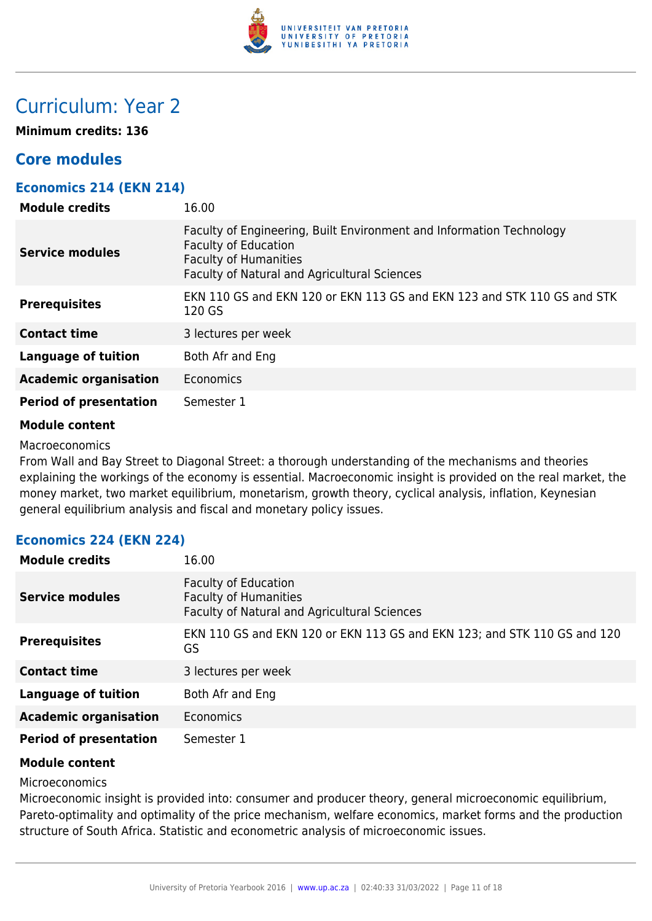

## Curriculum: Year 2

**Minimum credits: 136**

### **Core modules**

#### **Economics 214 (EKN 214)**

| <b>Module credits</b>         | 16.00                                                                                                                                                                               |
|-------------------------------|-------------------------------------------------------------------------------------------------------------------------------------------------------------------------------------|
| <b>Service modules</b>        | Faculty of Engineering, Built Environment and Information Technology<br><b>Faculty of Education</b><br><b>Faculty of Humanities</b><br>Faculty of Natural and Agricultural Sciences |
| <b>Prerequisites</b>          | EKN 110 GS and EKN 120 or EKN 113 GS and EKN 123 and STK 110 GS and STK<br>120 GS                                                                                                   |
| <b>Contact time</b>           | 3 lectures per week                                                                                                                                                                 |
| <b>Language of tuition</b>    | Both Afr and Eng                                                                                                                                                                    |
| <b>Academic organisation</b>  | <b>Economics</b>                                                                                                                                                                    |
| <b>Period of presentation</b> | Semester 1                                                                                                                                                                          |

#### **Module content**

Macroeconomics

From Wall and Bay Street to Diagonal Street: a thorough understanding of the mechanisms and theories explaining the workings of the economy is essential. Macroeconomic insight is provided on the real market, the money market, two market equilibrium, monetarism, growth theory, cyclical analysis, inflation, Keynesian general equilibrium analysis and fiscal and monetary policy issues.

#### **Economics 224 (EKN 224)**

| <b>Module credits</b>         | 16.00                                                                                                       |
|-------------------------------|-------------------------------------------------------------------------------------------------------------|
| <b>Service modules</b>        | <b>Faculty of Education</b><br><b>Faculty of Humanities</b><br>Faculty of Natural and Agricultural Sciences |
| <b>Prerequisites</b>          | EKN 110 GS and EKN 120 or EKN 113 GS and EKN 123; and STK 110 GS and 120<br>GS                              |
| <b>Contact time</b>           | 3 lectures per week                                                                                         |
| Language of tuition           | Both Afr and Eng                                                                                            |
| <b>Academic organisation</b>  | Economics                                                                                                   |
| <b>Period of presentation</b> | Semester 1                                                                                                  |

#### **Module content**

Microeconomics

Microeconomic insight is provided into: consumer and producer theory, general microeconomic equilibrium, Pareto-optimality and optimality of the price mechanism, welfare economics, market forms and the production structure of South Africa. Statistic and econometric analysis of microeconomic issues.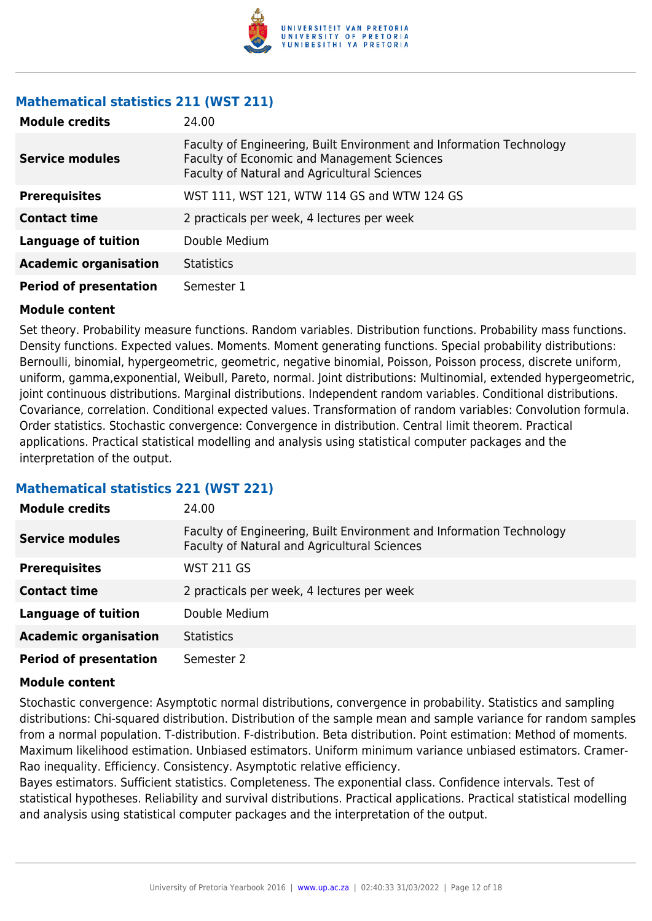

#### **Mathematical statistics 211 (WST 211)**

| <b>Module credits</b>         | 24.00                                                                                                                                                               |
|-------------------------------|---------------------------------------------------------------------------------------------------------------------------------------------------------------------|
| <b>Service modules</b>        | Faculty of Engineering, Built Environment and Information Technology<br>Faculty of Economic and Management Sciences<br>Faculty of Natural and Agricultural Sciences |
| <b>Prerequisites</b>          | WST 111, WST 121, WTW 114 GS and WTW 124 GS                                                                                                                         |
| <b>Contact time</b>           | 2 practicals per week, 4 lectures per week                                                                                                                          |
| <b>Language of tuition</b>    | Double Medium                                                                                                                                                       |
| <b>Academic organisation</b>  | <b>Statistics</b>                                                                                                                                                   |
| <b>Period of presentation</b> | Semester 1                                                                                                                                                          |

#### **Module content**

Set theory. Probability measure functions. Random variables. Distribution functions. Probability mass functions. Density functions. Expected values. Moments. Moment generating functions. Special probability distributions: Bernoulli, binomial, hypergeometric, geometric, negative binomial, Poisson, Poisson process, discrete uniform, uniform, gamma,exponential, Weibull, Pareto, normal. Joint distributions: Multinomial, extended hypergeometric, joint continuous distributions. Marginal distributions. Independent random variables. Conditional distributions. Covariance, correlation. Conditional expected values. Transformation of random variables: Convolution formula. Order statistics. Stochastic convergence: Convergence in distribution. Central limit theorem. Practical applications. Practical statistical modelling and analysis using statistical computer packages and the interpretation of the output.

#### **Mathematical statistics 221 (WST 221)**

| <b>Module credits</b>         | 24.00                                                                                                                |
|-------------------------------|----------------------------------------------------------------------------------------------------------------------|
| <b>Service modules</b>        | Faculty of Engineering, Built Environment and Information Technology<br>Faculty of Natural and Agricultural Sciences |
| <b>Prerequisites</b>          | <b>WST 211 GS</b>                                                                                                    |
| <b>Contact time</b>           | 2 practicals per week, 4 lectures per week                                                                           |
| <b>Language of tuition</b>    | Double Medium                                                                                                        |
| <b>Academic organisation</b>  | <b>Statistics</b>                                                                                                    |
| <b>Period of presentation</b> | Semester 2                                                                                                           |

#### **Module content**

Stochastic convergence: Asymptotic normal distributions, convergence in probability. Statistics and sampling distributions: Chi-squared distribution. Distribution of the sample mean and sample variance for random samples from a normal population. T-distribution. F-distribution. Beta distribution. Point estimation: Method of moments. Maximum likelihood estimation. Unbiased estimators. Uniform minimum variance unbiased estimators. Cramer-Rao inequality. Efficiency. Consistency. Asymptotic relative efficiency.

Bayes estimators. Sufficient statistics. Completeness. The exponential class. Confidence intervals. Test of statistical hypotheses. Reliability and survival distributions. Practical applications. Practical statistical modelling and analysis using statistical computer packages and the interpretation of the output.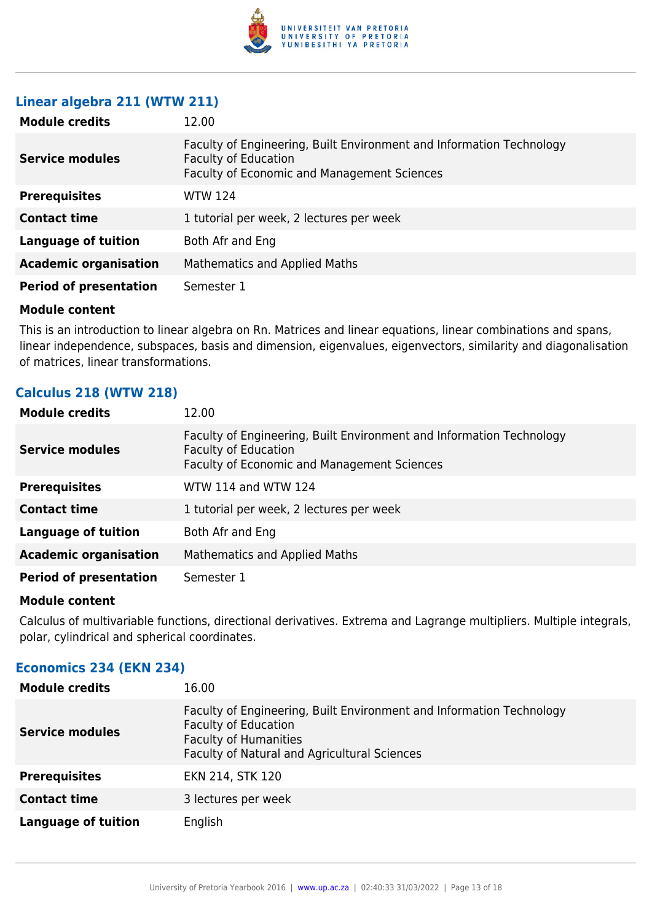

#### **Linear algebra 211 (WTW 211)**

| <b>Module credits</b>         | 12.00                                                                                                                                              |
|-------------------------------|----------------------------------------------------------------------------------------------------------------------------------------------------|
| <b>Service modules</b>        | Faculty of Engineering, Built Environment and Information Technology<br><b>Faculty of Education</b><br>Faculty of Economic and Management Sciences |
| <b>Prerequisites</b>          | <b>WTW 124</b>                                                                                                                                     |
| <b>Contact time</b>           | 1 tutorial per week, 2 lectures per week                                                                                                           |
| <b>Language of tuition</b>    | Both Afr and Eng                                                                                                                                   |
| <b>Academic organisation</b>  | Mathematics and Applied Maths                                                                                                                      |
| <b>Period of presentation</b> | Semester 1                                                                                                                                         |

#### **Module content**

This is an introduction to linear algebra on Rn. Matrices and linear equations, linear combinations and spans, linear independence, subspaces, basis and dimension, eigenvalues, eigenvectors, similarity and diagonalisation of matrices, linear transformations.

#### **Calculus 218 (WTW 218)**

| <b>Module credits</b>         | 12.00                                                                                                                                              |
|-------------------------------|----------------------------------------------------------------------------------------------------------------------------------------------------|
| <b>Service modules</b>        | Faculty of Engineering, Built Environment and Information Technology<br><b>Faculty of Education</b><br>Faculty of Economic and Management Sciences |
| <b>Prerequisites</b>          | WTW 114 and WTW 124                                                                                                                                |
| <b>Contact time</b>           | 1 tutorial per week, 2 lectures per week                                                                                                           |
| <b>Language of tuition</b>    | Both Afr and Eng                                                                                                                                   |
| <b>Academic organisation</b>  | Mathematics and Applied Maths                                                                                                                      |
| <b>Period of presentation</b> | Semester 1                                                                                                                                         |

#### **Module content**

Calculus of multivariable functions, directional derivatives. Extrema and Lagrange multipliers. Multiple integrals, polar, cylindrical and spherical coordinates.

#### **Economics 234 (EKN 234)**

| <b>Module credits</b>      | 16.00                                                                                                                                                                               |
|----------------------------|-------------------------------------------------------------------------------------------------------------------------------------------------------------------------------------|
| <b>Service modules</b>     | Faculty of Engineering, Built Environment and Information Technology<br><b>Faculty of Education</b><br><b>Faculty of Humanities</b><br>Faculty of Natural and Agricultural Sciences |
| <b>Prerequisites</b>       | EKN 214, STK 120                                                                                                                                                                    |
| <b>Contact time</b>        | 3 lectures per week                                                                                                                                                                 |
| <b>Language of tuition</b> | English                                                                                                                                                                             |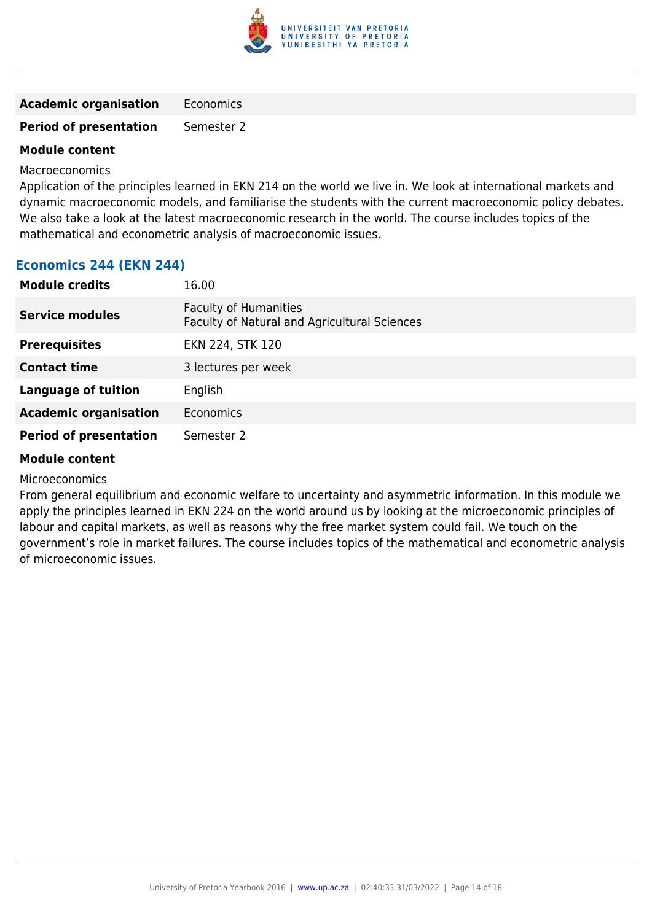

| <b>Academic organisation</b> | Economics |
|------------------------------|-----------|
|------------------------------|-----------|

**Period of presentation** Semester 2

#### **Module content**

Macroeconomics

Application of the principles learned in EKN 214 on the world we live in. We look at international markets and dynamic macroeconomic models, and familiarise the students with the current macroeconomic policy debates. We also take a look at the latest macroeconomic research in the world. The course includes topics of the mathematical and econometric analysis of macroeconomic issues.

#### **Economics 244 (EKN 244)**

| <b>Module credits</b>         | 16.00                                                                        |
|-------------------------------|------------------------------------------------------------------------------|
| <b>Service modules</b>        | <b>Faculty of Humanities</b><br>Faculty of Natural and Agricultural Sciences |
| <b>Prerequisites</b>          | EKN 224, STK 120                                                             |
| <b>Contact time</b>           | 3 lectures per week                                                          |
| <b>Language of tuition</b>    | English                                                                      |
| <b>Academic organisation</b>  | Economics                                                                    |
| <b>Period of presentation</b> | Semester 2                                                                   |

#### **Module content**

Microeconomics

From general equilibrium and economic welfare to uncertainty and asymmetric information. In this module we apply the principles learned in EKN 224 on the world around us by looking at the microeconomic principles of labour and capital markets, as well as reasons why the free market system could fail. We touch on the government's role in market failures. The course includes topics of the mathematical and econometric analysis of microeconomic issues.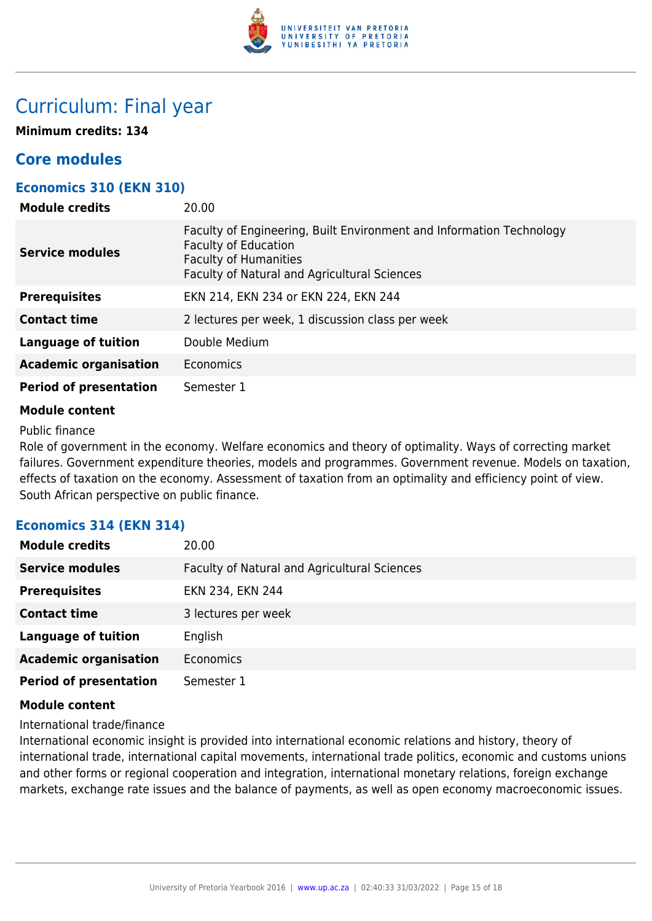

### Curriculum: Final year

**Minimum credits: 134**

### **Core modules**

#### **Economics 310 (EKN 310)**

| <b>Module credits</b>         | 20.00                                                                                                                                                                               |
|-------------------------------|-------------------------------------------------------------------------------------------------------------------------------------------------------------------------------------|
| <b>Service modules</b>        | Faculty of Engineering, Built Environment and Information Technology<br><b>Faculty of Education</b><br><b>Faculty of Humanities</b><br>Faculty of Natural and Agricultural Sciences |
| <b>Prerequisites</b>          | EKN 214, EKN 234 or EKN 224, EKN 244                                                                                                                                                |
| <b>Contact time</b>           | 2 lectures per week, 1 discussion class per week                                                                                                                                    |
| Language of tuition           | Double Medium                                                                                                                                                                       |
| <b>Academic organisation</b>  | Economics                                                                                                                                                                           |
| <b>Period of presentation</b> | Semester 1                                                                                                                                                                          |
|                               |                                                                                                                                                                                     |

#### **Module content**

Public finance

Role of government in the economy. Welfare economics and theory of optimality. Ways of correcting market failures. Government expenditure theories, models and programmes. Government revenue. Models on taxation, effects of taxation on the economy. Assessment of taxation from an optimality and efficiency point of view. South African perspective on public finance.

#### **Economics 314 (EKN 314)**

| <b>Module credits</b>         | 20.00                                        |
|-------------------------------|----------------------------------------------|
| <b>Service modules</b>        | Faculty of Natural and Agricultural Sciences |
| <b>Prerequisites</b>          | EKN 234, EKN 244                             |
| <b>Contact time</b>           | 3 lectures per week                          |
| <b>Language of tuition</b>    | English                                      |
| <b>Academic organisation</b>  | <b>Economics</b>                             |
| <b>Period of presentation</b> | Semester 1                                   |

#### **Module content**

International trade/finance

International economic insight is provided into international economic relations and history, theory of international trade, international capital movements, international trade politics, economic and customs unions and other forms or regional cooperation and integration, international monetary relations, foreign exchange markets, exchange rate issues and the balance of payments, as well as open economy macroeconomic issues.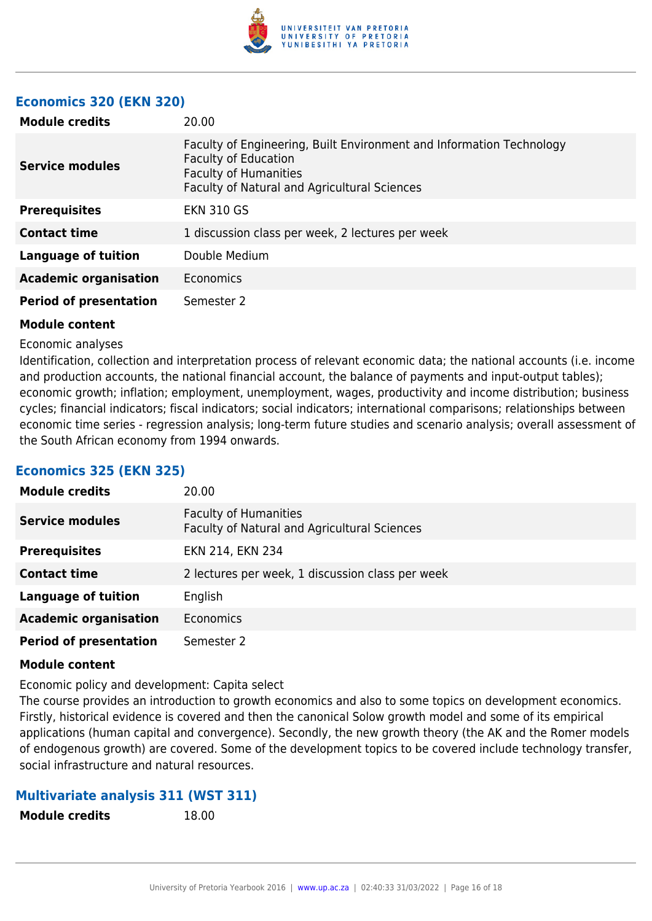

#### **Economics 320 (EKN 320)**

| <b>Module credits</b>         | 20.00                                                                                                                                                                        |
|-------------------------------|------------------------------------------------------------------------------------------------------------------------------------------------------------------------------|
| <b>Service modules</b>        | Faculty of Engineering, Built Environment and Information Technology<br>Faculty of Education<br><b>Faculty of Humanities</b><br>Faculty of Natural and Agricultural Sciences |
| <b>Prerequisites</b>          | <b>EKN 310 GS</b>                                                                                                                                                            |
| <b>Contact time</b>           | 1 discussion class per week, 2 lectures per week                                                                                                                             |
| Language of tuition           | Double Medium                                                                                                                                                                |
| <b>Academic organisation</b>  | Economics                                                                                                                                                                    |
| <b>Period of presentation</b> | Semester 2                                                                                                                                                                   |

#### **Module content**

#### Economic analyses

Identification, collection and interpretation process of relevant economic data; the national accounts (i.e. income and production accounts, the national financial account, the balance of payments and input-output tables); economic growth; inflation; employment, unemployment, wages, productivity and income distribution; business cycles; financial indicators; fiscal indicators; social indicators; international comparisons; relationships between economic time series - regression analysis; long-term future studies and scenario analysis; overall assessment of the South African economy from 1994 onwards.

#### **Economics 325 (EKN 325)**

| <b>Module credits</b>         | 20.00                                                                        |
|-------------------------------|------------------------------------------------------------------------------|
| <b>Service modules</b>        | <b>Faculty of Humanities</b><br>Faculty of Natural and Agricultural Sciences |
| <b>Prerequisites</b>          | EKN 214, EKN 234                                                             |
| <b>Contact time</b>           | 2 lectures per week, 1 discussion class per week                             |
| <b>Language of tuition</b>    | English                                                                      |
| <b>Academic organisation</b>  | <b>Economics</b>                                                             |
| <b>Period of presentation</b> | Semester 2                                                                   |

#### **Module content**

Economic policy and development: Capita select

The course provides an introduction to growth economics and also to some topics on development economics. Firstly, historical evidence is covered and then the canonical Solow growth model and some of its empirical applications (human capital and convergence). Secondly, the new growth theory (the AK and the Romer models of endogenous growth) are covered. Some of the development topics to be covered include technology transfer, social infrastructure and natural resources.

#### **Multivariate analysis 311 (WST 311)**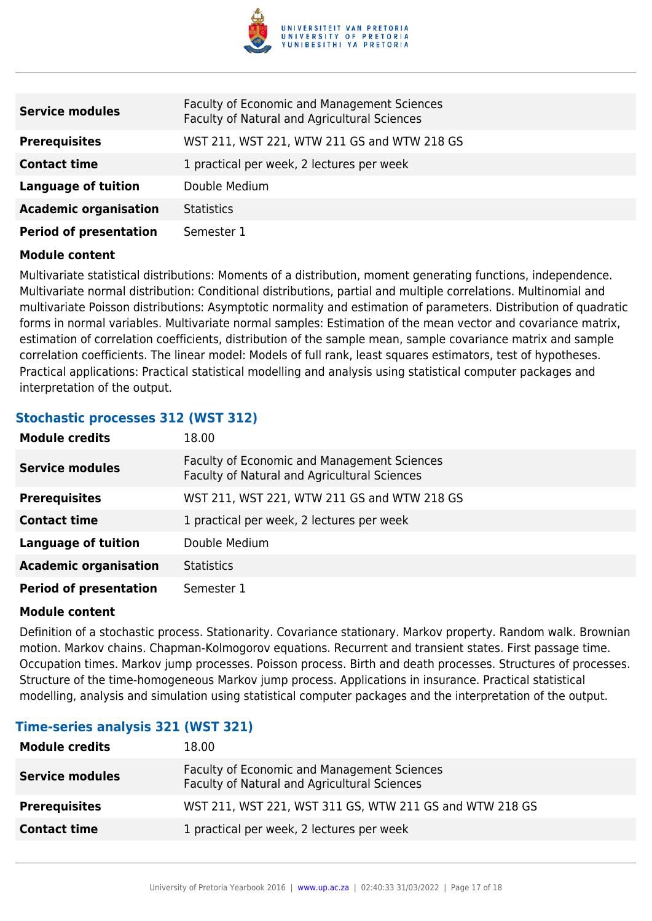

| <b>Service modules</b>        | Faculty of Economic and Management Sciences<br>Faculty of Natural and Agricultural Sciences |
|-------------------------------|---------------------------------------------------------------------------------------------|
| <b>Prerequisites</b>          | WST 211, WST 221, WTW 211 GS and WTW 218 GS                                                 |
| <b>Contact time</b>           | 1 practical per week, 2 lectures per week                                                   |
| <b>Language of tuition</b>    | Double Medium                                                                               |
| <b>Academic organisation</b>  | <b>Statistics</b>                                                                           |
| <b>Period of presentation</b> | Semester 1                                                                                  |

Multivariate statistical distributions: Moments of a distribution, moment generating functions, independence. Multivariate normal distribution: Conditional distributions, partial and multiple correlations. Multinomial and multivariate Poisson distributions: Asymptotic normality and estimation of parameters. Distribution of quadratic forms in normal variables. Multivariate normal samples: Estimation of the mean vector and covariance matrix, estimation of correlation coefficients, distribution of the sample mean, sample covariance matrix and sample correlation coefficients. The linear model: Models of full rank, least squares estimators, test of hypotheses. Practical applications: Practical statistical modelling and analysis using statistical computer packages and interpretation of the output.

#### **Stochastic processes 312 (WST 312)**

| <b>Module credits</b>         | 18.00                                                                                              |
|-------------------------------|----------------------------------------------------------------------------------------------------|
| <b>Service modules</b>        | <b>Faculty of Economic and Management Sciences</b><br>Faculty of Natural and Agricultural Sciences |
| <b>Prerequisites</b>          | WST 211, WST 221, WTW 211 GS and WTW 218 GS                                                        |
| <b>Contact time</b>           | 1 practical per week, 2 lectures per week                                                          |
| <b>Language of tuition</b>    | Double Medium                                                                                      |
| <b>Academic organisation</b>  | <b>Statistics</b>                                                                                  |
| <b>Period of presentation</b> | Semester 1                                                                                         |

#### **Module content**

Definition of a stochastic process. Stationarity. Covariance stationary. Markov property. Random walk. Brownian motion. Markov chains. Chapman-Kolmogorov equations. Recurrent and transient states. First passage time. Occupation times. Markov jump processes. Poisson process. Birth and death processes. Structures of processes. Structure of the time-homogeneous Markov jump process. Applications in insurance. Practical statistical modelling, analysis and simulation using statistical computer packages and the interpretation of the output.

#### **Time-series analysis 321 (WST 321)**

| <b>Module credits</b>  | 18.00                                                                                       |
|------------------------|---------------------------------------------------------------------------------------------|
| <b>Service modules</b> | Faculty of Economic and Management Sciences<br>Faculty of Natural and Agricultural Sciences |
| <b>Prerequisites</b>   | WST 211, WST 221, WST 311 GS, WTW 211 GS and WTW 218 GS                                     |
| <b>Contact time</b>    | 1 practical per week, 2 lectures per week                                                   |
|                        |                                                                                             |